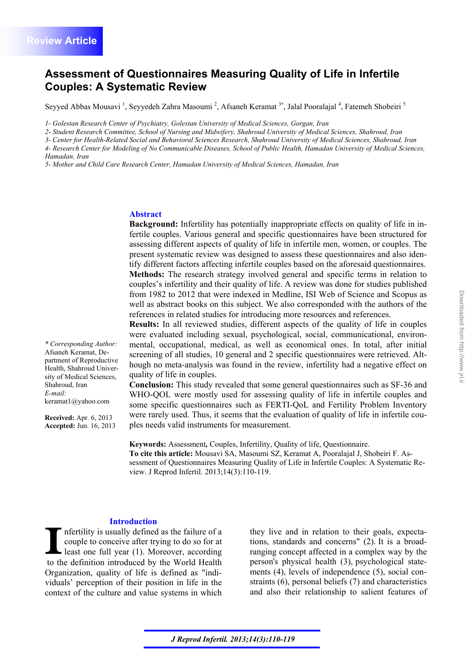# **Assessment of Questionnaires Measuring Quality of Life in Infertile Couples: A Systematic Review**

Seyyed Abbas Mousavi<sup>1</sup>, Seyyedeh Zahra Masoumi<sup>2</sup>, Afsaneh Keramat<sup>3\*</sup>, Jalal Pooralajal<sup>4</sup>, Fatemeh Shobeiri<sup>5</sup>

*1- Golestan Research Center of Psychiatry, Golestan University of Medical Sciences, Gorgan, Iran* 

*2- Student Research Committee, School of Nursing and Midwifery, Shahroud University of Medical Sciences, Shahroud, Iran* 

*3- Center for Health-Related Social and Behavioral Sciences Research, Shahroud University of Medical Sciences, Shahroud, Iran* 

*4- Research Center for Modeling of No Communicable Diseases, School of Public Health, Hamadan University of Medical Sciences,* 

*Hamadan, Iran* 

*\* Corresponding Author:*  Afsaneh Keramat, Department of Reproductive Health, Shahroud University of Medical Sciences,

Shahroud, Iran *E-mail:*

keramat1@yahoo.com

**Received:** Apr. 6, 2013 **Accepted:** Jun. 16, 2013

*5- Mother and Child Care Research Center, Hamadan University of Medical Sciences, Hamadan, Iran* 

#### **Abstract**

**Background:** Infertility has potentially inappropriate effects on quality of life in infertile couples. Various general and specific questionnaires have been structured for assessing different aspects of quality of life in infertile men, women, or couples. The present systematic review was designed to assess these questionnaires and also identify different factors affecting infertile couples based on the aforesaid questionnaires. **Methods:** The research strategy involved general and specific terms in relation to couples's infertility and their quality of life. A review was done for studies published from 1982 to 2012 that were indexed in Medline, ISI Web of Science and Scopus as well as abstract books on this subject. We also corresponded with the authors of the references in related studies for introducing more resources and references.

**Results:** In all reviewed studies, different aspects of the quality of life in couples were evaluated including sexual, psychological, social, communicational, environmental, occupational, medical, as well as economical ones. In total, after initial screening of all studies, 10 general and 2 specific questionnaires were retrieved. Although no meta-analysis was found in the review, infertility had a negative effect on quality of life in couples.

**Conclusion:** This study revealed that some general questionnaires such as SF-36 and WHO-QOL were mostly used for assessing quality of life in infertile couples and some specific questionnaires such as FERTI-QoL and Fertility Problem Inventory were rarely used. Thus, it seems that the evaluation of quality of life in infertile couples needs valid instruments for measurement.

**Keywords:** Assessment*,* Couples, Infertility, Quality of life, Questionnaire. **To cite this article:** Mousavi SA, Masoumi SZ, Keramat A, Pooralajal J, Shobeiri F. Assessment of Questionnaires Measuring Quality of Life in Infertile Couples: A Systematic Review. J Reprod Infertil. 2013;14(3):110-119.

#### **Introduction**

nfertility is usually defined as the failure of a couple to conceive after trying to do so for at least one full year (1). Moreover, according to the definition introduced by the World Health Organization, quality of life is defined as "individuals' perception of their position in life in the context of the culture and value systems in which

they live and in relation to their goals, expectations, standards and concerns" (2). It is a broadranging concept affected in a complex way by the person's physical health (3), psychological statements (4), levels of independence (5), social constraints (6), personal beliefs (7) and characteristics and also their relationship to salient features of

Downloaded from http://www.jri.ir [Downloaded from http://www.jri.ir](http://www.jri.ir)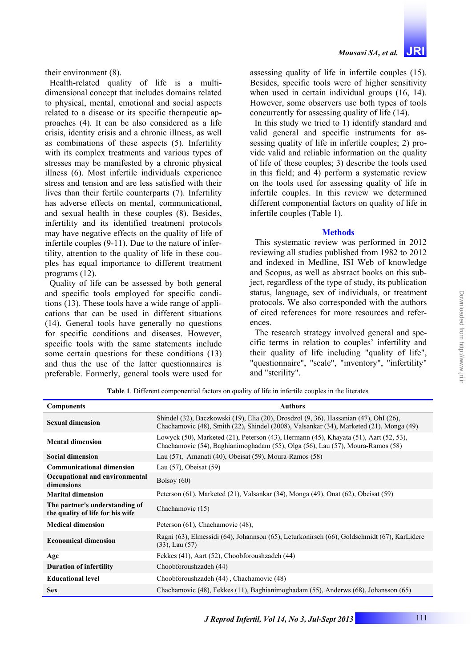their environment (8).

Health-related quality of life is a multidimensional concept that includes domains related to physical, mental, emotional and social aspects related to a disease or its specific therapeutic approaches (4). It can be also considered as a life crisis, identity crisis and a chronic illness, as well as combinations of these aspects (5). Infertility with its complex treatments and various types of stresses may be manifested by a chronic physical illness (6). Most infertile individuals experience stress and tension and are less satisfied with their lives than their fertile counterparts (7). Infertility has adverse effects on mental, communicational, and sexual health in these couples (8). Besides, infertility and its identified treatment protocols may have negative effects on the quality of life of infertile couples (9-11). Due to the nature of infertility, attention to the quality of life in these couples has equal importance to different treatment programs (12).

Quality of life can be assessed by both general and specific tools employed for specific conditions (13). These tools have a wide range of applications that can be used in different situations (14). General tools have generally no questions for specific conditions and diseases. However, specific tools with the same statements include some certain questions for these conditions (13) and thus the use of the latter questionnaires is preferable. Formerly, general tools were used for

assessing quality of life in infertile couples (15). Besides, specific tools were of higher sensitivity when used in certain individual groups (16, 14). However, some observers use both types of tools concurrently for assessing quality of life (14).

In this study we tried to 1) identify standard and valid general and specific instruments for assessing quality of life in infertile couples; 2) provide valid and reliable information on the quality of life of these couples; 3) describe the tools used in this field; and  $\overline{4}$ ) perform a systematic review on the tools used for assessing quality of life in infertile couples. In this review we determined different componential factors on quality of life in infertile couples (Table 1).

### **Methods**

This systematic review was performed in 2012 reviewing all studies published from 1982 to 2012 and indexed in Medline, ISI Web of knowledge and Scopus, as well as abstract books on this subject, regardless of the type of study, its publication status, language, sex of individuals, or treatment protocols. We also corresponded with the authors of cited references for more resources and references.

The research strategy involved general and specific terms in relation to couples' infertility and their quality of life including "quality of life", "questionnaire", "scale", "inventory", "infertility" and "sterility".

**Table 1**. Different componential factors on quality of life in infertile couples in the literates

| <b>Components</b>                                                  | <b>Authors</b>                                                                                                                                                                            |  |  |
|--------------------------------------------------------------------|-------------------------------------------------------------------------------------------------------------------------------------------------------------------------------------------|--|--|
| <b>Sexual dimension</b>                                            | Shindel (32), Baczkowski (19), Elia (20), Drosdzol (9, 36), Hassanian (47), OhI (26),<br>Chachamovic (48), Smith (22), Shindel (2008), Valsankar (34), Marketed (21), Monga (49)          |  |  |
| <b>Mental dimension</b>                                            | Lowyck $(50)$ , Marketed $(21)$ , Peterson $(43)$ , Hermann $(45)$ , Khayata $(51)$ , Aart $(52, 53)$ ,<br>Chachamovic (54), Baghianimoghadam (55), Olga (56), Lau (57), Moura-Ramos (58) |  |  |
| <b>Social dimension</b>                                            | Lau $(57)$ , Amanati $(40)$ , Obeisat $(59)$ , Moura-Ramos $(58)$                                                                                                                         |  |  |
| <b>Communicational dimension</b>                                   | Lau (57), Obeisat (59)                                                                                                                                                                    |  |  |
| Occupational and environmental<br>dimensions                       | Bolsoy $(60)$                                                                                                                                                                             |  |  |
| <b>Marital dimension</b>                                           | Peterson (61), Marketed (21), Valsankar (34), Monga (49), Onat (62), Obeisat (59)                                                                                                         |  |  |
| The partner's understanding of<br>the quality of life for his wife | Chachamovic (15)                                                                                                                                                                          |  |  |
| <b>Medical dimension</b>                                           | Peterson (61), Chachamovic (48),                                                                                                                                                          |  |  |
| <b>Economical dimension</b>                                        | Ragni (63), Elmessidi (64), Johannson (65), Leturkonirsch (66), Goldschmidt (67), KarLidere<br>$(33)$ , Lau $(57)$                                                                        |  |  |
| Age                                                                | Fekkes (41), Aart (52), Choobforoushzadeh (44)                                                                                                                                            |  |  |
| <b>Duration of infertility</b>                                     | Choobforoushzadeh (44)                                                                                                                                                                    |  |  |
| <b>Educational level</b>                                           | Choobforoushzadeh (44), Chachamovic (48)                                                                                                                                                  |  |  |
| <b>Sex</b>                                                         | Chachamovic (48), Fekkes (11), Baghianimoghadam (55), Anderws (68), Johansson (65)                                                                                                        |  |  |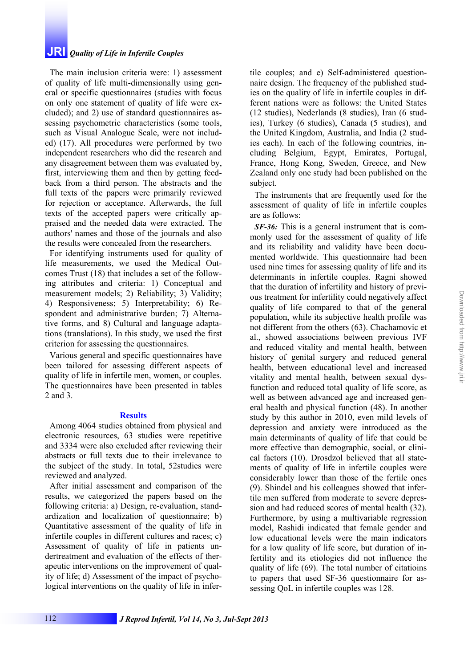# **Results**

Various general and specific questionnaires have been tailored for assessing different aspects of quality of life in infertile men, women, or couples. The questionnaires have been presented in tables

criterion for assessing the questionnaires.

**JRI** *Quality of Life in Infertile Couples*

The main inclusion criteria were: 1) assessment of quality of life multi-dimensionally using general or specific questionnaires (studies with focus on only one statement of quality of life were excluded); and 2) use of standard questionnaires assessing psychometric characteristics (some tools, such as Visual Analogue Scale, were not included) (17). All procedures were performed by two independent researchers who did the research and any disagreement between them was evaluated by, first, interviewing them and then by getting feedback from a third person. The abstracts and the full texts of the papers were primarily reviewed for rejection or acceptance. Afterwards, the full texts of the accepted papers were critically appraised and the needed data were extracted. The authors' names and those of the journals and also the results were concealed from the researchers. For identifying instruments used for quality of life measurements, we used the Medical Outcomes Trust (18) that includes a set of the following attributes and criteria: 1) Conceptual and measurement models; 2) Reliability; 3) Validity; 4) Responsiveness; 5) Interpretability; 6) Respondent and administrative burden; 7) Alternative forms, and 8) Cultural and language adaptations (translations). In this study, we used the first

Among 4064 studies obtained from physical and electronic resources, 63 studies were repetitive and 3334 were also excluded after reviewing their abstracts or full texts due to their irrelevance to the subject of the study. In total, 52studies were reviewed and analyzed.

After initial assessment and comparison of the results, we categorized the papers based on the following criteria: a) Design, re-evaluation, standardization and localization of questionnaire; b) Quantitative assessment of the quality of life in infertile couples in different cultures and races; c) Assessment of quality of life in patients undertreatment and evaluation of the effects of therapeutic interventions on the improvement of quality of life; d) Assessment of the impact of psychological interventions on the quality of life in infertile couples; and e) Self-administered questionnaire design. The frequency of the published studies on the quality of life in infertile couples in different nations were as follows: the United States (12 studies), Nederlands (8 studies), Iran (6 studies), Turkey (6 studies), Canada (5 studies), and the United Kingdom, Australia, and India (2 studies each). In each of the following countries, including Belgium, Egypt, Emirates, Portugal, France, Hong Kong, Sweden, Greece, and New Zealand only one study had been published on the subject.

The instruments that are frequently used for the assessment of quality of life in infertile couples are as follows:

*SF-36:* This is a general instrument that is commonly used for the assessment of quality of life and its reliability and validity have been documented worldwide. This questionnaire had been used nine times for assessing quality of life and its determinants in infertile couples. Ragni showed that the duration of infertility and history of previous treatment for infertility could negatively affect quality of life compared to that of the general population, while its subjective health profile was not different from the others (63). Chachamovic et al., showed associations between previous IVF and reduced vitality and mental health, between history of genital surgery and reduced general health, between educational level and increased vitality and mental health, between sexual dysfunction and reduced total quality of life score, as well as between advanced age and increased general health and physical function (48). In another study by this author in 2010, even mild levels of depression and anxiety were introduced as the main determinants of quality of life that could be more effective than demographic, social, or clinical factors (10). Drosdzol believed that all statements of quality of life in infertile couples were considerably lower than those of the fertile ones (9). Shindel and his colleagues showed that infertile men suffered from moderate to severe depression and had reduced scores of mental health (32). Furthermore, by using a multivariable regression model, Rashidi indicated that female gender and low educational levels were the main indicators for a low quality of life score, but duration of infertility and its etiologies did not influence the quality of life (69). The total number of citatioins to papers that used SF-36 questionnaire for assessing QoL in infertile couples was 128.

2 and 3.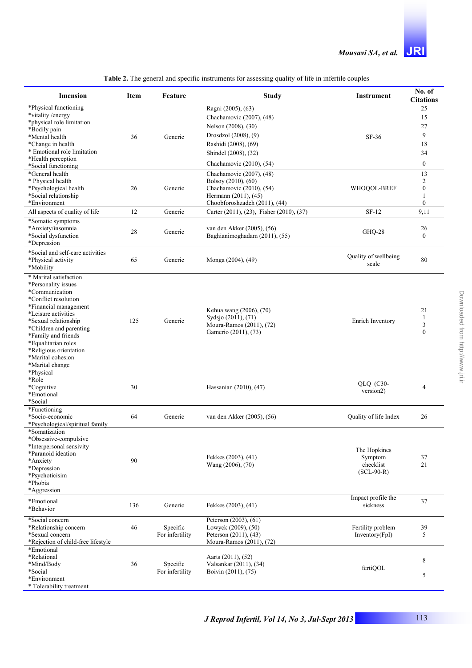| Imension                                              | Item | Feature         | <b>Study</b>                                                                                       | <b>Instrument</b>              | No. of<br><b>Citations</b> |
|-------------------------------------------------------|------|-----------------|----------------------------------------------------------------------------------------------------|--------------------------------|----------------------------|
| *Physical functioning                                 |      |                 | Ragni (2005), (63)                                                                                 |                                | 25                         |
| *vitality/energy                                      |      |                 | Chachamovic (2007), (48)                                                                           |                                | 15                         |
| *physical role limitation                             |      |                 | Nelson (2008), (30)                                                                                |                                | 27                         |
| *Bodily pain<br>*Mental health                        | 36   | Generic         | Drosdzol (2008), (9)                                                                               | SF-36                          | 9                          |
| *Change in health                                     |      |                 | Rashidi (2008), (69)                                                                               |                                | 18                         |
| * Emotional role limitation                           |      |                 | Shindel (2008), (32)                                                                               |                                | 34                         |
| *Health perception                                    |      |                 | Chachamovic (2010), (54)                                                                           |                                | $\boldsymbol{0}$           |
| *Social functioning<br>*General health                |      |                 | Chachamovic (2007), (48)                                                                           |                                | 13                         |
| * Physical health                                     |      |                 | Bolsoy (2010), (60)                                                                                |                                | 2                          |
| *Psychological health                                 | 26   | Generic         | Chachamovic (2010), (54)                                                                           | WHOOOL-BREF                    | $\boldsymbol{0}$           |
| *Social relationship                                  |      |                 | Hermann (2011), (45)                                                                               |                                | 1                          |
| *Environment                                          |      |                 | Choobforoshzadeh (2011), (44)                                                                      |                                | $\mathbf{0}$               |
| All aspects of quality of life                        | 12   | Generic         | Carter (2011), (23), Fisher (2010), (37)                                                           | $SF-12$                        | 9,11                       |
| *Somatic symptoms<br>*Anxiety/insomnia                |      |                 | van den Akker (2005), (56)                                                                         |                                | 26                         |
| *Social dysfunction                                   | 28   | Generic         | Baghianimoghadam (2011), (55)                                                                      | GHQ-28                         | $\mathbf{0}$               |
| *Depression                                           |      |                 |                                                                                                    |                                |                            |
| *Social and self-care activities                      |      |                 |                                                                                                    | Quality of wellbeing           |                            |
| *Physical activity<br>*Mobility                       | 65   | Generic         | Monga (2004), (49)                                                                                 | scale                          | 80                         |
| * Marital satisfaction                                |      |                 |                                                                                                    |                                |                            |
| *Personality issues                                   |      |                 | Kehua wang (2006), (70)<br>Sydsjo (2011), (71)<br>Moura-Ramos (2011), (72)<br>Gamerio (2011), (73) |                                |                            |
| *Communication                                        |      |                 |                                                                                                    |                                |                            |
| *Conflict resolution                                  |      |                 |                                                                                                    |                                |                            |
| *Financial management<br>*Leisure activities          |      |                 |                                                                                                    | Enrich Inventory               | 21                         |
| *Sexual relationship                                  | 125  | Generic         |                                                                                                    |                                | 1                          |
| *Children and parenting                               |      |                 |                                                                                                    |                                | 3<br>$\mathbf{0}$          |
| *Family and friends                                   |      |                 |                                                                                                    |                                |                            |
| *Equalitarian roles<br>*Religious orientation         |      |                 |                                                                                                    |                                |                            |
| *Marital cohesion                                     |      |                 |                                                                                                    |                                |                            |
| *Marital change                                       |      |                 |                                                                                                    |                                |                            |
| *Physical                                             |      |                 |                                                                                                    |                                |                            |
| *Role                                                 |      |                 |                                                                                                    | $QLQ$ (C30-                    |                            |
| *Cognitive<br>*Emotional                              | 30   |                 | Hassanian (2010), (47)                                                                             | version2)                      | $\overline{4}$             |
| *Social                                               |      |                 |                                                                                                    |                                |                            |
| *Functioning                                          |      |                 |                                                                                                    |                                |                            |
| *Socio-economic<br>*Psychological/spiritual family    | 64   | Generic         | van den Akker (2005), (56)                                                                         | Quality of life Index          | 26                         |
| *Somatization                                         |      |                 |                                                                                                    |                                |                            |
| *Obsessive-compulsive                                 |      |                 |                                                                                                    |                                |                            |
| *Interpersonal sensivity                              |      |                 |                                                                                                    | The Hopkines                   |                            |
| *Paranoid ideation                                    |      |                 | Fekkes (2003), (41)                                                                                | Symptom                        | 37                         |
| *Anxiety<br>*Depression                               | 90   |                 | Wang (2006), (70)                                                                                  | checklist                      | 21                         |
| *Psychoticisim                                        |      |                 |                                                                                                    | $(SCL-90-R)$                   |                            |
| *Phobia                                               |      |                 |                                                                                                    |                                |                            |
| *Aggression                                           |      |                 |                                                                                                    |                                |                            |
| *Emotional                                            | 136  | Generic         | Fekkes (2003), (41)                                                                                | Impact profile the<br>sickness | 37                         |
| *Behavior                                             |      |                 |                                                                                                    |                                |                            |
| *Social concern                                       |      |                 | Peterson (2003), (61)                                                                              |                                |                            |
| *Relationship concern                                 | 46   | Specific        | Lowyck (2009), (50)                                                                                | Fertility problem              | 39                         |
| *Sexual concern<br>*Rejection of child-free lifestyle |      | For infertility | Peterson (2011), (43)<br>Moura-Ramos (2011), (72)                                                  | Inventory(FpI)                 | 5                          |
| *Emotional                                            |      |                 |                                                                                                    |                                |                            |
| *Relational                                           |      |                 | Aarts (2011), (52)                                                                                 |                                | 8                          |
| *Mind/Body                                            | 36   | Specific        | Valsankar (2011), (34)                                                                             | fertiQOL                       |                            |
| *Social<br>*Environment                               |      | For infertility | Boivin (2011), (75)                                                                                |                                | 5                          |
| * Tolerability treatment                              |      |                 |                                                                                                    |                                |                            |
|                                                       |      |                 |                                                                                                    |                                |                            |

| Table 2. The general and specific instruments for assessing quality of life in infertile couples |
|--------------------------------------------------------------------------------------------------|
|--------------------------------------------------------------------------------------------------|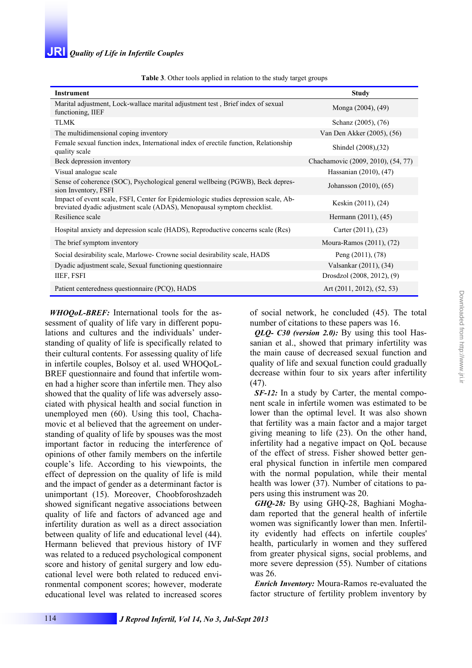| <b>rapic 5</b> . Other tools applied in relation to the study target groups                                                                                    |                                    |  |  |  |  |
|----------------------------------------------------------------------------------------------------------------------------------------------------------------|------------------------------------|--|--|--|--|
| <b>Instrument</b>                                                                                                                                              | <b>Study</b>                       |  |  |  |  |
| Marital adjustment, Lock-wallace marital adjustment test, Brief index of sexual<br>functioning, IIEF                                                           | Monga (2004), (49)                 |  |  |  |  |
| <b>TLMK</b>                                                                                                                                                    | Schanz (2005), (76)                |  |  |  |  |
| The multidimensional coping inventory                                                                                                                          | Van Den Akker (2005), (56)         |  |  |  |  |
| Female sexual function index, International index of erectile function, Relationship<br>quality scale                                                          | Shindel (2008), (32)               |  |  |  |  |
| Beck depression inventory                                                                                                                                      | Chachamovic (2009, 2010), (54, 77) |  |  |  |  |
| Visual analogue scale                                                                                                                                          | Hassanian (2010), (47)             |  |  |  |  |
| Sense of coherence (SOC), Psychological general wellbeing (PGWB), Beck depres-<br>sion Inventory, FSFI                                                         | Johansson (2010), (65)             |  |  |  |  |
| Impact of event scale, FSFI, Center for Epidemiologic studies depression scale, Ab-<br>breviated dyadic adjustment scale (ADAS), Menopausal symptom checklist. | Keskin (2011), (24)                |  |  |  |  |
| Resilience scale                                                                                                                                               | Hermann (2011), (45)               |  |  |  |  |
| Hospital anxiety and depression scale (HADS), Reproductive concerns scale (Rcs)                                                                                | Carter $(2011)$ , $(23)$           |  |  |  |  |
| The brief symptom inventory                                                                                                                                    | Moura-Ramos (2011), (72)           |  |  |  |  |
| Social desirability scale, Marlowe- Crowne social desirability scale, HADS                                                                                     | Peng $(2011)$ , $(78)$             |  |  |  |  |
| Dyadic adjustment scale, Sexual functioning questionnaire                                                                                                      | Valsankar (2011), (34)             |  |  |  |  |
| IIEF, FSFI                                                                                                                                                     | Drosdzol (2008, 2012), (9)         |  |  |  |  |
| Patient centeredness questionnaire (PCQ), HADS                                                                                                                 | Art (2011, 2012), (52, 53)         |  |  |  |  |

**Table 3**. Other tools applied in relation to the study target groups

*WHOQoL-BREF:* International tools for the assessment of quality of life vary in different populations and cultures and the individuals' understanding of quality of life is specifically related to their cultural contents. For assessing quality of life in infertile couples, Bolsoy et al. used WHOQoL-BREF questionnaire and found that infertile women had a higher score than infertile men. They also showed that the quality of life was adversely associated with physical health and social function in unemployed men (60). Using this tool, Chachamovic et al believed that the agreement on understanding of quality of life by spouses was the most important factor in reducing the interference of opinions of other family members on the infertile couple's life. According to his viewpoints, the effect of depression on the quality of life is mild and the impact of gender as a determinant factor is unimportant (15). Moreover, Choobforoshzadeh showed significant negative associations between quality of life and factors of advanced age and infertility duration as well as a direct association between quality of life and educational level (44). Hermann believed that previous history of IVF was related to a reduced psychological component score and history of genital surgery and low educational level were both related to reduced environmental component scores; however, moderate educational level was related to increased scores

of social network, he concluded (45). The total number of citations to these papers was 16.

*QLQ- C30 (version 2.0):* By using this tool Hassanian et al., showed that primary infertility was the main cause of decreased sexual function and quality of life and sexual function could gradually decrease within four to six years after infertility (47).

*SF-12:* In a study by Carter, the mental component scale in infertile women was estimated to be lower than the optimal level. It was also shown that fertility was a main factor and a major target giving meaning to life (23). On the other hand, infertility had a negative impact on QoL because of the effect of stress. Fisher showed better general physical function in infertile men compared with the normal population, while their mental health was lower (37). Number of citations to papers using this instrument was 20.

*GHQ-28:* By using GHQ-28, Baghiani Moghadam reported that the general health of infertile women was significantly lower than men. Infertility evidently had effects on infertile couples' health, particularly in women and they suffered from greater physical signs, social problems, and more severe depression (55). Number of citations was 26.

*Enrich Inventory:* Moura-Ramos re-evaluated the factor structure of fertility problem inventory by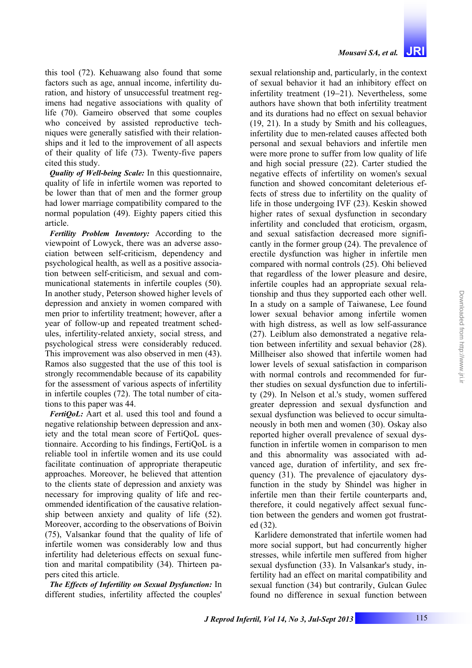*Mousavi SA, et al.* **JRI**

this tool (72). Kehuawang also found that some factors such as age, annual income, infertility duration, and history of unsuccessful treatment regimens had negative associations with quality of life (70). Gameiro observed that some couples who conceived by assisted reproductive techniques were generally satisfied with their relationships and it led to the improvement of all aspects of their quality of life (73). Twenty-five papers cited this study.

*Quality of Well-being Scale:* In this questionnaire, quality of life in infertile women was reported to be lower than that of men and the former group had lower marriage compatibility compared to the normal population (49). Eighty papers citied this article.

*Fertility Problem Inventory:* According to the viewpoint of Lowyck, there was an adverse association between self-criticism, dependency and psychological health, as well as a positive association between self-criticism, and sexual and communicational statements in infertile couples (50). In another study, Peterson showed higher levels of depression and anxiety in women compared with men prior to infertility treatment; however, after a year of follow-up and repeated treatment schedules, infertility-related anxiety, social stress, and psychological stress were considerably reduced. This improvement was also observed in men (43). Ramos also suggested that the use of this tool is strongly recommendable because of its capability for the assessment of various aspects of infertility in infertile couples (72). The total number of citations to this paper was 44.

*FertiQoL:* Aart et al. used this tool and found a negative relationship between depression and anxiety and the total mean score of FertiQoL questionnaire. According to his findings, FertiQoL is a reliable tool in infertile women and its use could facilitate continuation of appropriate therapeutic approaches. Moreover, he believed that attention to the clients state of depression and anxiety was necessary for improving quality of life and recommended identification of the causative relationship between anxiety and quality of life (52). Moreover, according to the observations of Boivin (75), Valsankar found that the quality of life of infertile women was considerably low and thus infertility had deleterious effects on sexual function and marital compatibility (34). Thirteen papers cited this article.

*The Effects of Infertility on Sexual Dysfunction:* In different studies, infertility affected the couples'

sexual relationship and, particularly, in the context of sexual behavior it had an inhibitory effect on infertility treatment (19−21). Nevertheless, some authors have shown that both infertility treatment and its durations had no effect on sexual behavior (19, 21). In a study by Smith and his colleagues, infertility due to men-related causes affected both personal and sexual behaviors and infertile men were more prone to suffer from low quality of life and high social pressure (22). Carter studied the negative effects of infertility on women's sexual function and showed concomitant deleterious effects of stress due to infertility on the quality of life in those undergoing IVF (23). Keskin showed higher rates of sexual dysfunction in secondary infertility and concluded that eroticism, orgasm, and sexual satisfaction decreased more significantly in the former group (24). The prevalence of erectile dysfunction was higher in infertile men compared with normal controls (25). Ohi believed that regardless of the lower pleasure and desire, infertile couples had an appropriate sexual relationship and thus they supported each other well. In a study on a sample of Taiwanese, Lee found lower sexual behavior among infertile women with high distress, as well as low self-assurance (27). Leiblum also demonstrated a negative relation between infertility and sexual behavior (28). Millheiser also showed that infertile women had lower levels of sexual satisfaction in comparison with normal controls and recommended for further studies on sexual dysfunction due to infertility (29). In Nelson et al.'s study, women suffered greater depression and sexual dysfunction and sexual dysfunction was believed to occur simultaneously in both men and women (30). Oskay also reported higher overall prevalence of sexual dysfunction in infertile women in comparison to men and this abnormality was associated with advanced age, duration of infertility, and sex frequency (31). The prevalence of ejaculatory dysfunction in the study by Shindel was higher in infertile men than their fertile counterparts and, therefore, it could negatively affect sexual function between the genders and women got frustrated (32).

Karlidere demonstrated that infertile women had more social support, but had concurrently higher stresses, while infertile men suffered from higher sexual dysfunction (33). In Valsankar's study, infertility had an effect on marital compatibility and sexual function (34) but contrarily, Gulcan Gulec found no difference in sexual function between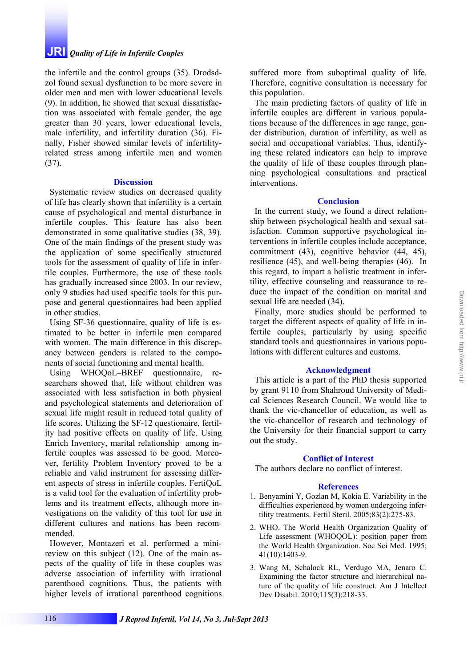# **JRI** *Quality of Life in Infertile Couples*

the infertile and the control groups (35). Drodsdzol found sexual dysfunction to be more severe in older men and men with lower educational levels (9). In addition, he showed that sexual dissatisfaction was associated with female gender, the age greater than 30 years, lower educational levels, male infertility, and infertility duration (36). Finally, Fisher showed similar levels of infertilityrelated stress among infertile men and women (37).

#### **Discussion**

Systematic review studies on decreased quality of life has clearly shown that infertility is a certain cause of psychological and mental disturbance in infertile couples. This feature has also been demonstrated in some qualitative studies (38, 39). One of the main findings of the present study was the application of some specifically structured tools for the assessment of quality of life in infertile couples. Furthermore, the use of these tools has gradually increased since 2003. In our review, only 9 studies had used specific tools for this purpose and general questionnaires had been applied in other studies.

Using SF-36 questionnaire, quality of life is estimated to be better in infertile men compared with women. The main difference in this discrepancy between genders is related to the components of social functioning and mental health.

Using WHOQoL–BREF questionnaire, researchers showed that, life without children was associated with less satisfaction in both physical and psychological statements and deterioration of sexual life might result in reduced total quality of life scores. Utilizing the SF-12 questionaire, fertility had positive effects on quality of life. Using Enrich Inventory, marital relationship among infertile couples was assessed to be good. Moreover, fertility Problem Inventory proved to be a reliable and valid instrument for assessing different aspects of stress in infertile couples. FertiQoL is a valid tool for the evaluation of infertility problems and its treatment effects, although more investigations on the validity of this tool for use in different cultures and nations has been recommended.

However, Montazeri et al. performed a minireview on this subject (12). One of the main aspects of the quality of life in these couples was adverse association of infertility with irrational parenthood cognitions. Thus, the patients with higher levels of irrational parenthood cognitions suffered more from suboptimal quality of life. Therefore, cognitive consultation is necessary for this population.

The main predicting factors of quality of life in infertile couples are different in various populations because of the differences in age range, gender distribution, duration of infertility, as well as social and occupational variables. Thus, identifying these related indicators can help to improve the quality of life of these couples through planning psychological consultations and practical interventions.

#### **Conclusion**

In the current study, we found a direct relationship between psychological health and sexual satisfaction. Common supportive psychological interventions in infertile couples include acceptance, commitment (43), cognitive behavior (44, 45), resilience (45), and well-being therapies (46). In this regard, to impart a holistic treatment in infertility, effective counseling and reassurance to reduce the impact of the condition on marital and sexual life are needed (34).

Finally, more studies should be performed to target the different aspects of quality of life in infertile couples, particularly by using specific standard tools and questionnaires in various populations with different cultures and customs.

## **Acknowledgment**

This article is a part of the PhD thesis supported by grant 9110 from Shahroud University of Medical Sciences Research Council. We would like to thank the vic-chancellor of education, as well as the vic-chancellor of research and technology of the University for their financial support to carry out the study.

### **Conflict of Interest**

The authors declare no conflict of interest.

#### **References**

- 1. Benyamini Y, Gozlan M, Kokia E. Variability in the difficulties experienced by women undergoing infertility treatments. Fertil Steril. 2005;83(2):275-83.
- 2. WHO. The World Health Organization Quality of Life assessment (WHOOOL): position paper from the World Health Organization. Soc Sci Med. 1995; 41(10):1403-9.
- 3. Wang M, Schalock RL, Verdugo MA, Jenaro C. Examining the factor structure and hierarchical nature of the quality of life construct. Am J Intellect Dev Disabil. 2010;115(3):218-33.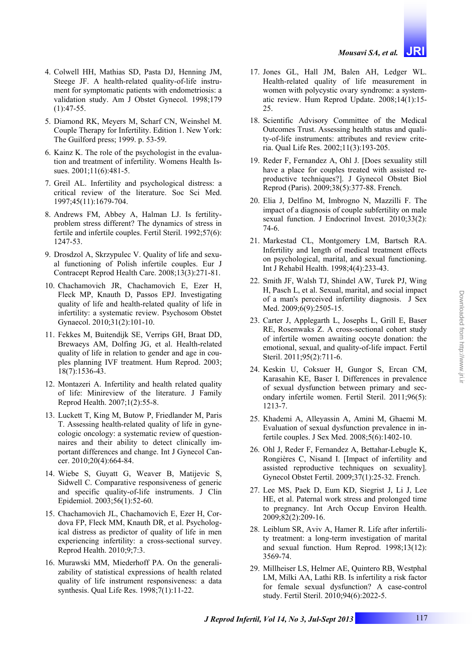- 4. Colwell HH, Mathias SD, Pasta DJ, Henning JM, Steege JF. A health-related quality-of-life instrument for symptomatic patients with endometriosis: a validation study. Am J Obstet Gynecol. 1998;179  $(1):47-55.$
- 5. Diamond RK, Meyers M, Scharf CN, Weinshel M. Couple Therapy for Infertility. Edition 1. New York: The Guilford press; 1999. p. 53-59.
- 6. Kainz K. The role of the psychologist in the evaluation and treatment of infertility. Womens Health Issues. 2001:11(6):481-5.
- 7. Greil AL. Infertility and psychological distress: a critical review of the literature. Soc Sci Med. 1997;45(11):1679-704.
- 8. Andrews FM, Abbey A, Halman LJ. Is fertilityproblem stress different? The dynamics of stress in fertile and infertile couples. Fertil Steril. 1992;57(6): 1247-53.
- 9. Drosdzol A, Skrzypulec V. Quality of life and sexual functioning of Polish infertile couples. Eur J Contracept Reprod Health Care. 2008;13(3):271-81.
- 10. Chachamovich JR, Chachamovich E, Ezer H, Fleck MP, Knauth D, Passos EPJ. Investigating quality of life and health-related quality of life in infertility: a systematic review. Psychosom Obstet Gynaecol. 2010;31(2):101-10.
- 11. Fekkes M, Buitendijk SE, Verrips GH, Braat DD, Brewaeys AM, Dolfing JG, et al. Health-related quality of life in relation to gender and age in couples planning IVF treatment. Hum Reprod. 2003; 18(7):1536-43.
- 12. Montazeri A. Infertility and health related quality of life: Minireview of the literature. J Family Reprod Health. 2007;1(2):55-8.
- 13. Luckett T, King M, Butow P, Friedlander M, Paris T. Assessing health-related quality of life in gynecologic oncology: a systematic review of questionnaires and their ability to detect clinically important differences and change. Int J Gynecol Cancer. 2010;20(4):664-84.
- 14. Wiebe S, Guyatt G, Weaver B, Matijevic S, Sidwell C. Comparative responsiveness of generic and specific quality-of-life instruments. J Clin Epidemiol. 2003;56(1):52-60.
- 15. Chachamovich JL, Chachamovich E, Ezer H, Cordova FP, Fleck MM, Knauth DR, et al. Psychological distress as predictor of quality of life in men experiencing infertility: a cross-sectional survey. Reprod Health. 2010;9;7:3.
- 16. Murawski MM, Miederhoff PA. On the generalizability of statistical expressions of health related quality of life instrument responsiveness: a data synthesis. Qual Life Res. 1998;7(1):11-22.
- 17. Jones GL, Hall JM, Balen AH, Ledger WL. Health-related quality of life measurement in women with polycystic ovary syndrome: a systematic review. Hum Reprod Update. 2008;14(1):15- 25.
- 18. Scientific Advisory Committee of the Medical Outcomes Trust. Assessing health status and quality-of-life instruments: attributes and review criteria. Qual Life Res. 2002;11(3):193-205.
- 19. Reder F, Fernandez A, Ohl J. [Does sexuality still have a place for couples treated with assisted reproductive techniques?]. J Gynecol Obstet Biol Reprod (Paris). 2009;38(5):377-88. French.
- 20. Elia J, Delfino M, Imbrogno N, Mazzilli F. The impact of a diagnosis of couple subfertility on male sexual function. J Endocrinol Invest. 2010;33(2): 74-6.
- 21. Markestad CL, Montgomery LM, Bartsch RA. Infertility and length of medical treatment effects on psychological, marital, and sexual functioning. Int J Rehabil Health. 1998;4(4):233-43.
- 22. Smith JF, Walsh TJ, Shindel AW, Turek PJ, Wing H, Pasch L, et al. Sexual, marital, and social impact of a man's perceived infertility diagnosis. J Sex Med. 2009;6(9):2505-15.
- 23. Carter J, Applegarth L, Josephs L, Grill E, Baser RE, Rosenwaks Z. A cross-sectional cohort study of infertile women awaiting oocyte donation: the emotional, sexual, and quality-of-life impact. Fertil Steril. 2011;95(2):711-6.
- 24. Keskin U, Coksuer H, Gungor S, Ercan CM, Karasahin KE, Baser I. Differences in prevalence of sexual dysfunction between primary and secondary infertile women. Fertil Steril. 2011;96(5): 1213-7.
- 25. Khademi A, Alleyassin A, Amini M, Ghaemi M. Evaluation of sexual dysfunction prevalence in infertile couples. J Sex Med. 2008;5(6):1402-10.
- 26. Ohl J, Reder F, Fernandez A, Bettahar-Lebugle K, Rongières C, Nisand I. [Impact of infertility and assisted reproductive techniques on sexuality]. Gynecol Obstet Fertil. 2009;37(1):25-32. French.
- 27. Lee MS, Paek D, Eum KD, Siegrist J, Li J, Lee HE, et al. Paternal work stress and prolonged time to pregnancy. Int Arch Occup Environ Health. 2009;82(2):209-16.
- 28. Leiblum SR, Aviv A, Hamer R. Life after infertility treatment: a long-term investigation of marital and sexual function. Hum Reprod. 1998;13(12): 3569-74.
- 29. Millheiser LS, Helmer AE, Quintero RB, Westphal LM, Milki AA, Lathi RB. Is infertility a risk factor for female sexual dysfunction? A case-control study. Fertil Steril. 2010;94(6):2022-5.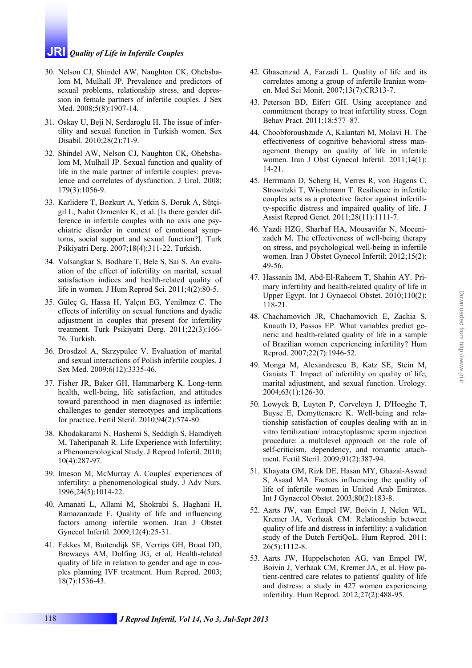# **JRI** *Quality of Life in Infertile Couples*

- 30. Nelson CJ, Shindel AW, Naughton CK, Ohebshalom M, Mulhall JP. Prevalence and predictors of sexual problems, relationship stress, and depression in female partners of infertile couples. J Sex Med. 2008;5(8):1907-14.
- 31. Oskay U, Beji N, Serdaroglu H. The issue of infertility and sexual function in Turkish women. Sex Disabil. 2010;28(2):71-9.
- 32. Shindel AW, Nelson CJ, Naughton CK, Ohebshalom M, Mulhall JP. Sexual function and quality of life in the male partner of infertile couples: prevalence and correlates of dysfunction. J Urol. 2008; 179(3):1056-9.
- 33. Karlidere T, Bozkurt A, Yetkin S, Doruk A, Sütçigil L, Nahit Ozmenler K, et al. [Is there gender difference in infertile couples with no axis one psychiatric disorder in context of emotional symptoms, social support and sexual function?]. Turk Psikiyatri Derg. 2007;18(4):311-22. Turkish.
- 34. Valsangkar S, Bodhare T, Bele S, Sai S. An evaluation of the effect of infertility on marital, sexual satisfaction indices and health-related quality of life in women. J Hum Reprod Sci. 2011;4(2):80-5.
- 35. Güleç G, Hassa H, Yalçın EG, Yenilmez C. The effects of infertility on sexual functions and dyadic adjustment in couples that present for infertility treatment. Turk Psikiyatri Derg. 2011;22(3):166- 76. Turkish.
- 36. Drosdzol A, Skrzypulec V. Evaluation of marital and sexual interactions of Polish infertile couples. J Sex Med. 2009;6(12):3335-46.
- 37. Fisher JR, Baker GH, Hammarberg K. Long-term health, well-being, life satisfaction, and attitudes toward parenthood in men diagnosed as infertile: challenges to gender stereotypes and implications for practice. Fertil Steril. 2010;94(2):574-80.
- 38. Khodakarami N, Hashemi S, Seddigh S, Hamdiyeh M, Taheripanah R. Life Experience with Infertility; a Phenomenological Study. J Reprod Infertil. 2010; 10(4):287-97.
- 39. Imeson M, McMurray A. Couples' experiences of infertility: a phenomenological study. J Adv Nurs. 1996;24(5):1014-22.
- 40. Amanati L, Allami M, Shokrabi S, Haghani H, Ramazanzade F. Quality of life and influencing factors among infertile women. Iran J Obstet Gynecol Infertil. 2009;12(4):25-31.
- 41. Fekkes M, Buitendijk SE, Verrips GH, Braat DD, Brewaeys AM, Dolfing JG, et al. Health-related quality of life in relation to gender and age in couples planning IVF treatment. Hum Reprod. 2003; 18(7):1536-43.
- 42. Ghasemzad A, Farzadi L. Quality of life and its correlates among a group of infertile Iranian women. Med Sci Monit. 2007;13(7):CR313-7.
- 43. Peterson BD, Eifert GH. Using acceptance and commitment therapy to treat infertility stress. Cogn Behav Pract. 2011;18:577–87.
- 44. Choobforoushzade A, Kalantari M, Molavi H. The effectiveness of cognitive behavioral stress management therapy on quality of life in infertile women. Iran J Obst Gynecol Infertil. 2011;14(1): 14-21.
- 45. Herrmann D, Scherg H, Verres R, von Hagens C, Strowitzki T, Wischmann T. Resilience in infertile couples acts as a protective factor against infertility-specific distress and impaired quality of life. J Assist Reprod Genet. 2011;28(11):1111-7.
- 46. Yazdi HZG, Sharbaf HA, Mousavifar N, Moeenizadeh M. The effectiveness of well-being therapy on stress, and psychological well-being in infertile women. Iran J Obstet Gynecol Infertil; 2012;15(2): 49-56.
- 47. Hassanin IM, Abd-El-Raheem T, Shahin AY. Primary infertility and health-related quality of life in Upper Egypt. Int J Gynaecol Obstet. 2010;110(2): 118-21.
- 48. Chachamovich JR, Chachamovich E, Zachia S, Knauth D, Passos EP. What variables predict generic and health-related quality of life in a sample of Brazilian women experiencing infertility? Hum Reprod. 2007;22(7):1946-52.

Downloaded from http://www.jri.ir [Downloaded from http://www.jri.ir](http://www.jri.ir)

- 49. Monga M, Alexandrescu B, Katz SE, Stein M, Ganiats T. Impact of infertility on quality of life, marital adjustment, and sexual function. Urology. 2004;63(1):126-30.
- 50. Lowyck B, Luyten P, Corveleyn J, D'Hooghe T, Buyse E, Demyttenaere K. Well-being and relationship satisfaction of couples dealing with an in vitro fertilization/ intracytoplasmic sperm injection procedure: a multilevel approach on the role of self-criticism, dependency, and romantic attachment. Fertil Steril. 2009;91(2):387-94.
- 51. Khayata GM, Rizk DE, Hasan MY, Ghazal-Aswad S, Asaad MA. Factors influencing the quality of life of infertile women in United Arab Emirates. Int J Gynaecol Obstet. 2003;80(2):183-8.
- 52. Aarts JW, van Empel IW, Boivin J, Nelen WL, Kremer JA, Verhaak CM. Relationship between quality of life and distress in infertility: a validation study of the Dutch FertiQoL. Hum Reprod. 2011; 26(5):1112-8.
- 53. Aarts JW, Huppelschoten AG, van Empel IW, Boivin J, Verhaak CM, Kremer JA, et al. How patient-centred care relates to patients' quality of life and distress: a study in 427 women experiencing infertility. Hum Reprod. 2012;27(2):488-95.